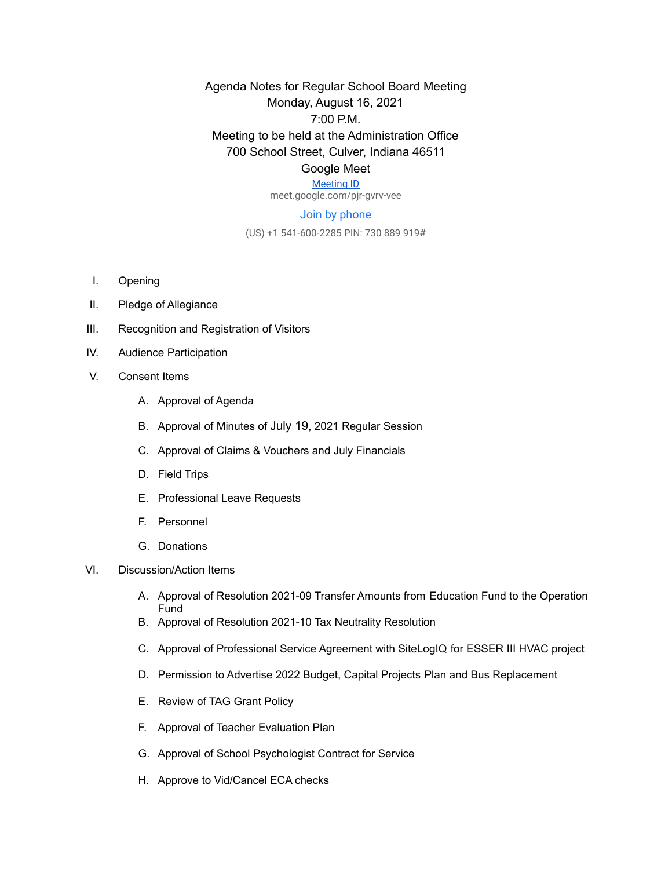Agenda Notes for Regular School Board Meeting Monday, August 16, 2021 7:00 P.M. Meeting to be held at the Administration Office 700 School Street, Culver, Indiana 46511 Google Meet

## [Meeting ID](https://meet.google.com/pjr-gvrv-vee)

meet.google.com/pjr-gvrv-vee

## Join by phone

(US) +1 541-600-2285 PIN: 730 889 919#

- I. Opening
- II. Pledge of Allegiance
- III. Recognition and Registration of Visitors
- IV. Audience Participation
- V. Consent Items
	- A. Approval of Agenda
	- B. Approval of Minutes of July 19, 2021 Regular Session
	- C. Approval of Claims & Vouchers and July Financials
	- D. Field Trips
	- E. Professional Leave Requests
	- F. Personnel
	- G. Donations
- VI. Discussion/Action Items
	- A. Approval of Resolution 2021-09 Transfer Amounts from Education Fund to the Operation Fund
	- B. Approval of Resolution 2021-10 Tax Neutrality Resolution
	- C. Approval of Professional Service Agreement with SiteLogIQ for ESSER III HVAC project
	- D. Permission to Advertise 2022 Budget, Capital Projects Plan and Bus Replacement
	- E. Review of TAG Grant Policy
	- F. Approval of Teacher Evaluation Plan
	- G. Approval of School Psychologist Contract for Service
	- H. Approve to Vid/Cancel ECA checks